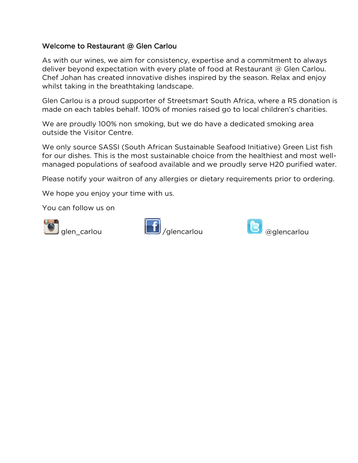## Welcome to Restaurant @ Glen Carlou

As with our wines, we aim for consistency, expertise and a commitment to always deliver beyond expectation with every plate of food at Restaurant @ Glen Carlou. Chef Johan has created innovative dishes inspired by the season. Relax and enjoy whilst taking in the breathtaking landscape.

Glen Carlou is a proud supporter of Streetsmart South Africa, where a R5 donation is made on each tables behalf. 100% of monies raised go to local children's charities.

We are proudly 100% non smoking, but we do have a dedicated smoking area outside the Visitor Centre.

We only source SASSI (South African Sustainable Seafood Initiative) Green List fish for our dishes. This is the most sustainable choice from the healthiest and most wellmanaged populations of seafood available and we proudly serve H20 purified water.

Please notify your waitron of any allergies or dietary requirements prior to ordering.

We hope you enjoy your time with us.

You can follow us on





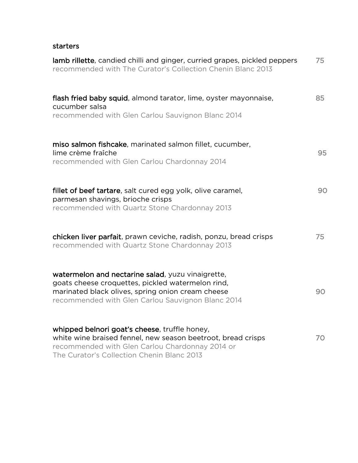## starters

| lamb rillette, candied chilli and ginger, curried grapes, pickled peppers<br>recommended with The Curator's Collection Chenin Blanc 2013                                                                         | 75 |
|------------------------------------------------------------------------------------------------------------------------------------------------------------------------------------------------------------------|----|
| flash fried baby squid, almond tarator, lime, oyster mayonnaise,<br>cucumber salsa<br>recommended with Glen Carlou Sauvignon Blanc 2014                                                                          | 85 |
| miso salmon fishcake, marinated salmon fillet, cucumber,<br>lime crème fraîche<br>recommended with Glen Carlou Chardonnay 2014                                                                                   | 95 |
| fillet of beef tartare, salt cured egg yolk, olive caramel,<br>parmesan shavings, brioche crisps<br>recommended with Quartz Stone Chardonnay 2013                                                                | 90 |
| chicken liver parfait, prawn ceviche, radish, ponzu, bread crisps<br>recommended with Quartz Stone Chardonnay 2013                                                                                               | 75 |
| watermelon and nectarine salad, yuzu vinaigrette,<br>goats cheese croquettes, pickled watermelon rind,<br>marinated black olives, spring onion cream cheese<br>recommended with Glen Carlou Sauvignon Blanc 2014 | 90 |
| whipped belnori goat's cheese, truffle honey,<br>white wine braised fennel, new season beetroot, bread crisps<br>recommended with Glen Carlou Chardonnay 2014 or<br>The Curator's Collection Chenin Blanc 2013   | 70 |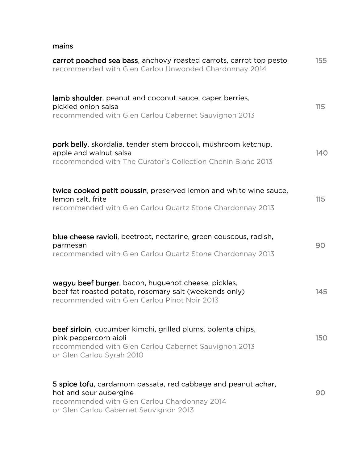## mains

| carrot poached sea bass, anchovy roasted carrots, carrot top pesto<br>recommended with Glen Carlou Unwooded Chardonnay 2014                                                       | 155        |
|-----------------------------------------------------------------------------------------------------------------------------------------------------------------------------------|------------|
| lamb shoulder, peanut and coconut sauce, caper berries,<br>pickled onion salsa<br>recommended with Glen Carlou Cabernet Sauvignon 2013                                            | 115        |
| pork belly, skordalia, tender stem broccoli, mushroom ketchup,<br>apple and walnut salsa<br>recommended with The Curator's Collection Chenin Blanc 2013                           | 140        |
| twice cooked petit poussin, preserved lemon and white wine sauce,<br>lemon salt, frite<br>recommended with Glen Carlou Quartz Stone Chardonnay 2013                               | 115        |
| <b>blue cheese ravioli</b> , beetroot, nectarine, green couscous, radish,<br>parmesan<br>recommended with Glen Carlou Quartz Stone Chardonnay 2013                                | 90         |
| wagyu beef burger, bacon, huguenot cheese, pickles,<br>beef fat roasted potato, rosemary salt (weekends only)<br>recommended with Glen Carlou Pinot Noir 2013                     | 145        |
| beef sirloin, cucumber kimchi, grilled plums, polenta chips,<br>pink peppercorn aioli<br>recommended with Glen Carlou Cabernet Sauvignon 2013<br>or Glen Carlou Syrah 2010        | <b>150</b> |
| 5 spice tofu, cardamom passata, red cabbage and peanut achar,<br>hot and sour aubergine<br>recommended with Glen Carlou Chardonnay 2014<br>or Glen Carlou Cabernet Sauvignon 2013 | 90         |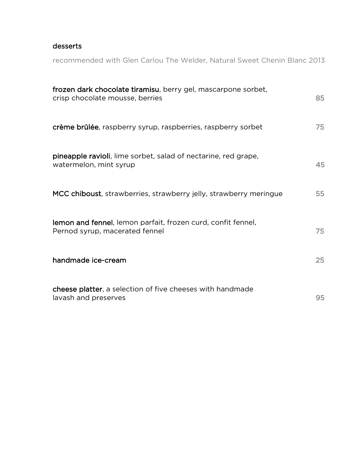## desserts

recommended with Glen Carlou The Welder, Natural Sweet Chenin Blanc 2013

| frozen dark chocolate tiramisu, berry gel, mascarpone sorbet,<br>crisp chocolate mousse, berries | 85 |
|--------------------------------------------------------------------------------------------------|----|
| crème brûlée, raspberry syrup, raspberries, raspberry sorbet                                     | 75 |
| pineapple ravioli, lime sorbet, salad of nectarine, red grape,<br>watermelon, mint syrup         | 45 |
| MCC chiboust, strawberries, strawberry jelly, strawberry meringue                                | 55 |
| lemon and fennel, lemon parfait, frozen curd, confit fennel,<br>Pernod syrup, macerated fennel   | 75 |
| handmade ice-cream                                                                               | 25 |
| <b>cheese platter</b> , a selection of five cheeses with handmade<br>lavash and preserves        | 95 |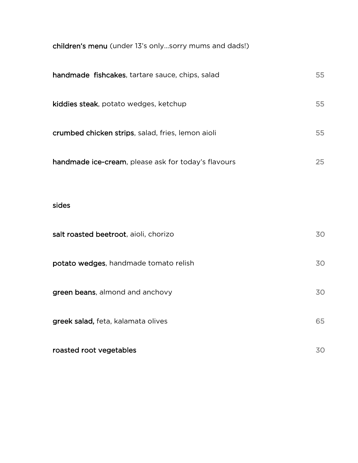children's menu (under 13's only…sorry mums and dads!)

| handmade fishcakes, tartare sauce, chips, salad     | 55 |
|-----------------------------------------------------|----|
| kiddies steak, potato wedges, ketchup               | 55 |
| crumbed chicken strips, salad, fries, lemon aioli   | 55 |
| handmade ice-cream, please ask for today's flavours | 25 |
|                                                     |    |
| sides                                               |    |
| salt roasted beetroot, aioli, chorizo               | 30 |
| potato wedges, handmade tomato relish               | 30 |
| green beans, almond and anchovy                     | 30 |
| greek salad, feta, kalamata olives                  | 65 |
| roasted root vegetables                             | 30 |